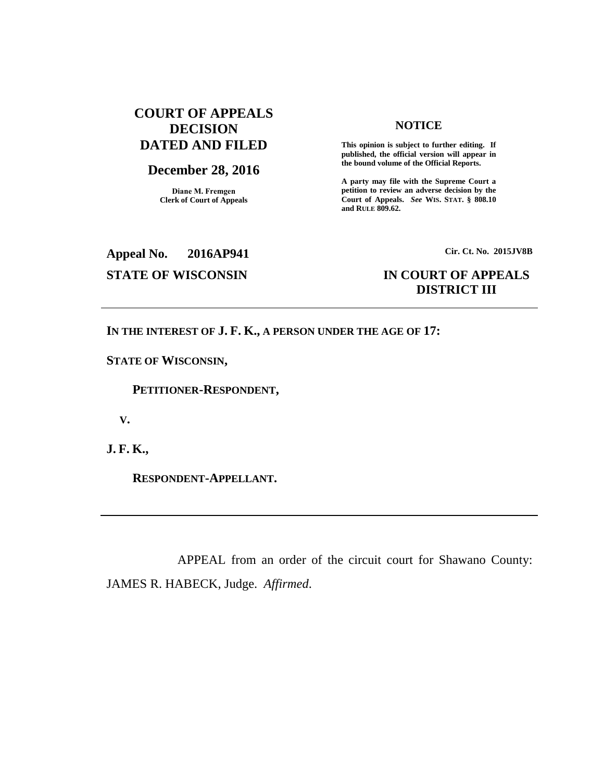## **COURT OF APPEALS DECISION DATED AND FILED**

# **December 28, 2016**

**Diane M. Fremgen Clerk of Court of Appeals**

#### **NOTICE**

**This opinion is subject to further editing. If published, the official version will appear in the bound volume of the Official Reports.** 

**A party may file with the Supreme Court a petition to review an adverse decision by the Court of Appeals.** *See* **WIS. STAT. § 808.10 and RULE 809.62.** 

**Appeal No. 2016AP941 Cir. Ct. No. 2015JV8B**

## **STATE OF WISCONSIN IN COURT OF APPEALS DISTRICT III**

## **IN THE INTEREST OF J. F. K., A PERSON UNDER THE AGE OF 17:**

**STATE OF WISCONSIN,**

 **PETITIONER-RESPONDENT,**

 **V.**

**J. F. K.,**

 **RESPONDENT-APPELLANT.**

APPEAL from an order of the circuit court for Shawano County: JAMES R. HABECK, Judge. *Affirmed*.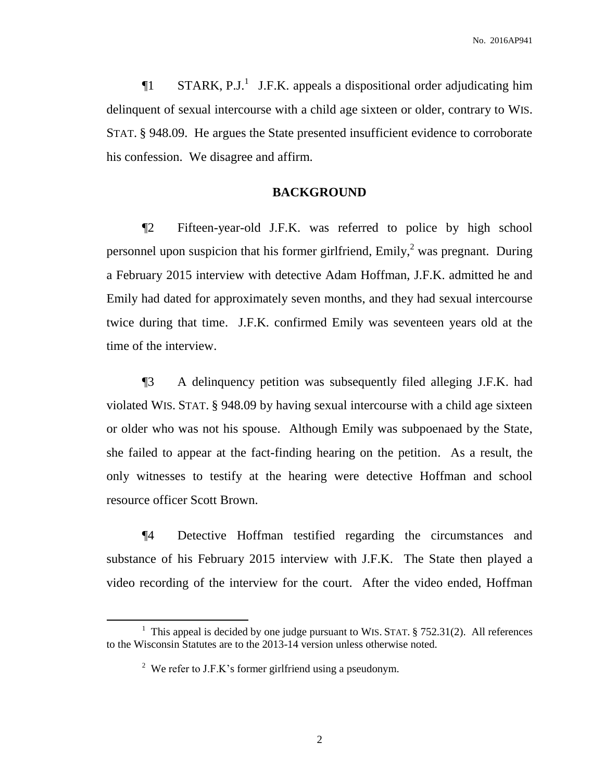No. 2016AP941

 $\P1$  STARK, P.J.<sup>1</sup> J.F.K. appeals a dispositional order adjudicating him delinquent of sexual intercourse with a child age sixteen or older, contrary to WIS. STAT. § 948.09. He argues the State presented insufficient evidence to corroborate his confession. We disagree and affirm.

## **BACKGROUND**

¶2 Fifteen-year-old J.F.K. was referred to police by high school personnel upon suspicion that his former girlfriend,  $Emily, <sup>2</sup>$  was pregnant. During a February 2015 interview with detective Adam Hoffman, J.F.K. admitted he and Emily had dated for approximately seven months, and they had sexual intercourse twice during that time. J.F.K. confirmed Emily was seventeen years old at the time of the interview.

¶3 A delinquency petition was subsequently filed alleging J.F.K. had violated WIS. STAT. § 948.09 by having sexual intercourse with a child age sixteen or older who was not his spouse. Although Emily was subpoenaed by the State, she failed to appear at the fact-finding hearing on the petition. As a result, the only witnesses to testify at the hearing were detective Hoffman and school resource officer Scott Brown.

¶4 Detective Hoffman testified regarding the circumstances and substance of his February 2015 interview with J.F.K. The State then played a video recording of the interview for the court. After the video ended, Hoffman

 $\overline{a}$ 

<sup>&</sup>lt;sup>1</sup> This appeal is decided by one judge pursuant to WIS. STAT.  $\S$  752.31(2). All references to the Wisconsin Statutes are to the 2013-14 version unless otherwise noted.

<sup>&</sup>lt;sup>2</sup> We refer to J.F.K's former girlfriend using a pseudonym.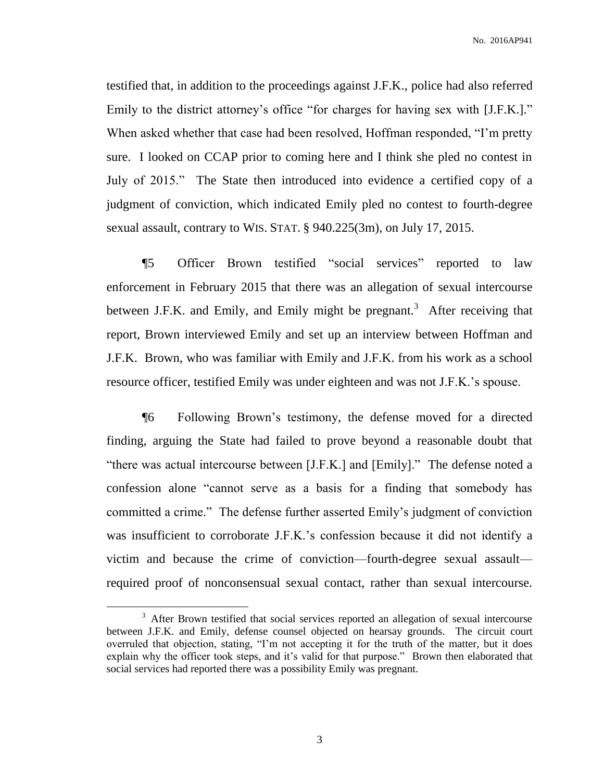testified that, in addition to the proceedings against J.F.K., police had also referred Emily to the district attorney's office "for charges for having sex with [J.F.K.]." When asked whether that case had been resolved, Hoffman responded, "I'm pretty sure. I looked on CCAP prior to coming here and I think she pled no contest in July of 2015." The State then introduced into evidence a certified copy of a judgment of conviction, which indicated Emily pled no contest to fourth-degree sexual assault, contrary to WIS. STAT. § 940.225(3m), on July 17, 2015.

¶5 Officer Brown testified "social services" reported to law enforcement in February 2015 that there was an allegation of sexual intercourse between J.F.K. and Emily, and Emily might be pregnant.<sup>3</sup> After receiving that report, Brown interviewed Emily and set up an interview between Hoffman and J.F.K. Brown, who was familiar with Emily and J.F.K. from his work as a school resource officer, testified Emily was under eighteen and was not J.F.K.'s spouse.

¶6 Following Brown's testimony, the defense moved for a directed finding, arguing the State had failed to prove beyond a reasonable doubt that "there was actual intercourse between [J.F.K.] and [Emily]." The defense noted a confession alone "cannot serve as a basis for a finding that somebody has committed a crime." The defense further asserted Emily's judgment of conviction was insufficient to corroborate J.F.K.'s confession because it did not identify a victim and because the crime of conviction—fourth-degree sexual assault required proof of nonconsensual sexual contact, rather than sexual intercourse.

 $\overline{a}$ 

<sup>&</sup>lt;sup>3</sup> After Brown testified that social services reported an allegation of sexual intercourse between J.F.K. and Emily, defense counsel objected on hearsay grounds. The circuit court overruled that objection, stating, "I'm not accepting it for the truth of the matter, but it does explain why the officer took steps, and it's valid for that purpose." Brown then elaborated that social services had reported there was a possibility Emily was pregnant.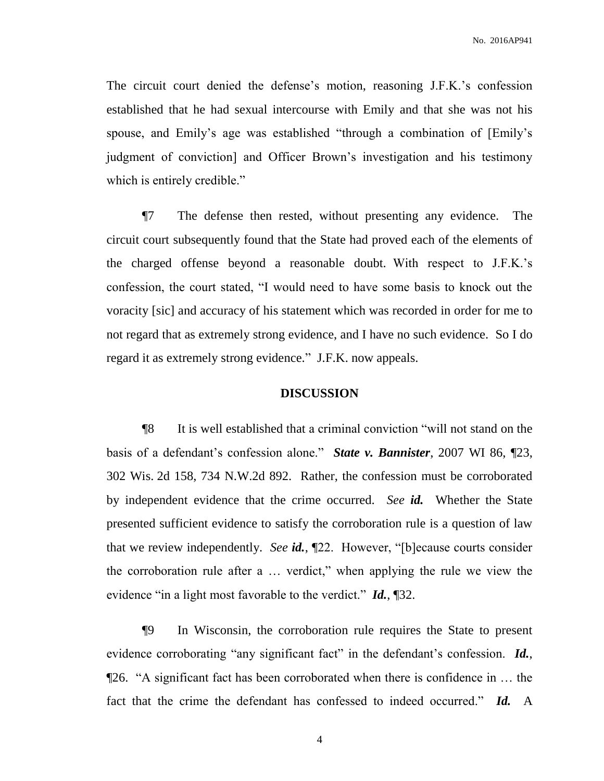The circuit court denied the defense's motion, reasoning J.F.K.'s confession established that he had sexual intercourse with Emily and that she was not his spouse, and Emily's age was established "through a combination of [Emily's judgment of conviction] and Officer Brown's investigation and his testimony which is entirely credible."

¶7 The defense then rested, without presenting any evidence. The circuit court subsequently found that the State had proved each of the elements of the charged offense beyond a reasonable doubt. With respect to J.F.K.'s confession, the court stated, "I would need to have some basis to knock out the voracity [sic] and accuracy of his statement which was recorded in order for me to not regard that as extremely strong evidence, and I have no such evidence. So I do regard it as extremely strong evidence." J.F.K. now appeals.

#### **DISCUSSION**

¶8 It is well established that a criminal conviction "will not stand on the basis of a defendant's confession alone." *State v. Bannister*, 2007 WI 86, ¶23, 302 Wis. 2d 158, 734 N.W.2d 892. Rather, the confession must be corroborated by independent evidence that the crime occurred. *See id.* Whether the State presented sufficient evidence to satisfy the corroboration rule is a question of law that we review independently. *See id.*, ¶22. However, "[b]ecause courts consider the corroboration rule after a … verdict," when applying the rule we view the evidence "in a light most favorable to the verdict." *Id.*, ¶32.

¶9 In Wisconsin, the corroboration rule requires the State to present evidence corroborating "any significant fact" in the defendant's confession. *Id.*, ¶26. "A significant fact has been corroborated when there is confidence in … the fact that the crime the defendant has confessed to indeed occurred." *Id.* A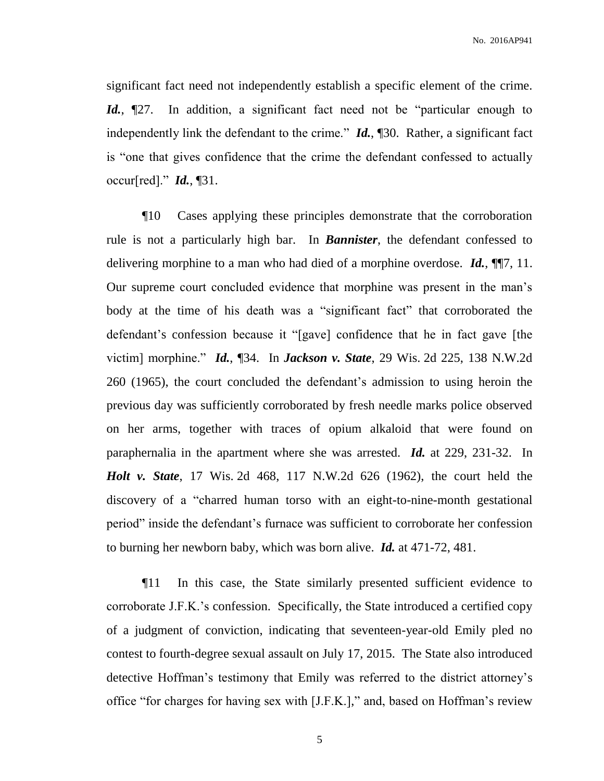significant fact need not independently establish a specific element of the crime. *Id.*,  $\mathbb{Z}$ ?. In addition, a significant fact need not be "particular enough to independently link the defendant to the crime." *Id.*, ¶30. Rather, a significant fact is "one that gives confidence that the crime the defendant confessed to actually occur[red]." *Id.*, ¶31.

¶10 Cases applying these principles demonstrate that the corroboration rule is not a particularly high bar. In *Bannister*, the defendant confessed to delivering morphine to a man who had died of a morphine overdose. *Id.*, ¶¶7, 11. Our supreme court concluded evidence that morphine was present in the man's body at the time of his death was a "significant fact" that corroborated the defendant's confession because it "[gave] confidence that he in fact gave [the victim] morphine." *Id.*, ¶34. In *Jackson v. State*, 29 Wis. 2d 225, 138 N.W.2d 260 (1965), the court concluded the defendant's admission to using heroin the previous day was sufficiently corroborated by fresh needle marks police observed on her arms, together with traces of opium alkaloid that were found on paraphernalia in the apartment where she was arrested. *Id.* at 229, 231-32. In *Holt v. State*, 17 Wis. 2d 468, 117 N.W.2d 626 (1962), the court held the discovery of a "charred human torso with an eight-to-nine-month gestational period" inside the defendant's furnace was sufficient to corroborate her confession to burning her newborn baby, which was born alive. *Id.* at 471-72, 481.

¶11 In this case, the State similarly presented sufficient evidence to corroborate J.F.K.'s confession. Specifically, the State introduced a certified copy of a judgment of conviction, indicating that seventeen-year-old Emily pled no contest to fourth-degree sexual assault on July 17, 2015. The State also introduced detective Hoffman's testimony that Emily was referred to the district attorney's office "for charges for having sex with [J.F.K.]," and, based on Hoffman's review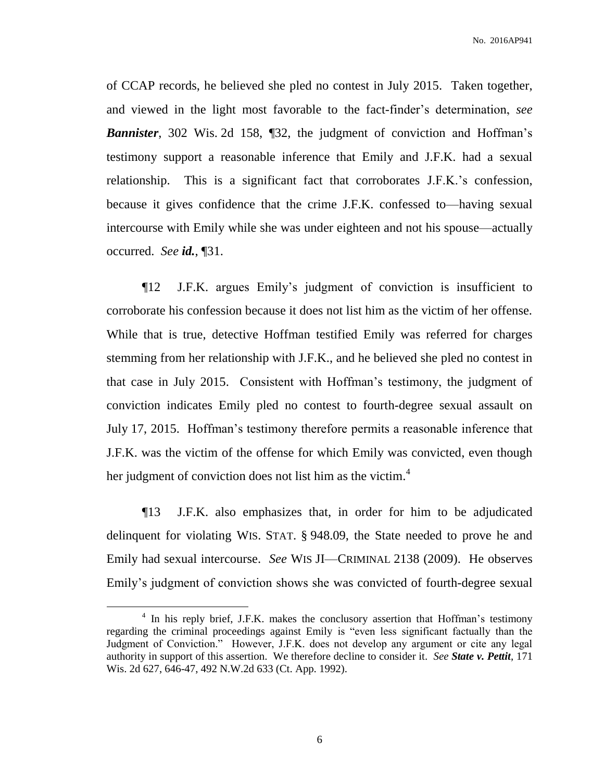No. 2016AP941

of CCAP records, he believed she pled no contest in July 2015. Taken together, and viewed in the light most favorable to the fact-finder's determination, *see*  **Bannister**, 302 Wis. 2d 158, 132, the judgment of conviction and Hoffman's testimony support a reasonable inference that Emily and J.F.K. had a sexual relationship. This is a significant fact that corroborates J.F.K.'s confession, because it gives confidence that the crime J.F.K. confessed to—having sexual intercourse with Emily while she was under eighteen and not his spouse—actually occurred. *See id.*, ¶31.

¶12 J.F.K. argues Emily's judgment of conviction is insufficient to corroborate his confession because it does not list him as the victim of her offense. While that is true, detective Hoffman testified Emily was referred for charges stemming from her relationship with J.F.K., and he believed she pled no contest in that case in July 2015. Consistent with Hoffman's testimony, the judgment of conviction indicates Emily pled no contest to fourth-degree sexual assault on July 17, 2015. Hoffman's testimony therefore permits a reasonable inference that J.F.K. was the victim of the offense for which Emily was convicted, even though her judgment of conviction does not list him as the victim.<sup>4</sup>

¶13 J.F.K. also emphasizes that, in order for him to be adjudicated delinquent for violating WIS. STAT. § 948.09, the State needed to prove he and Emily had sexual intercourse. *See* WIS JI—CRIMINAL 2138 (2009). He observes Emily's judgment of conviction shows she was convicted of fourth-degree sexual

 $\overline{a}$ 

<sup>&</sup>lt;sup>4</sup> In his reply brief, J.F.K. makes the conclusory assertion that Hoffman's testimony regarding the criminal proceedings against Emily is "even less significant factually than the Judgment of Conviction." However, J.F.K. does not develop any argument or cite any legal authority in support of this assertion. We therefore decline to consider it. *See State v. Pettit*, 171 Wis. 2d 627, 646-47, 492 N.W.2d 633 (Ct. App. 1992).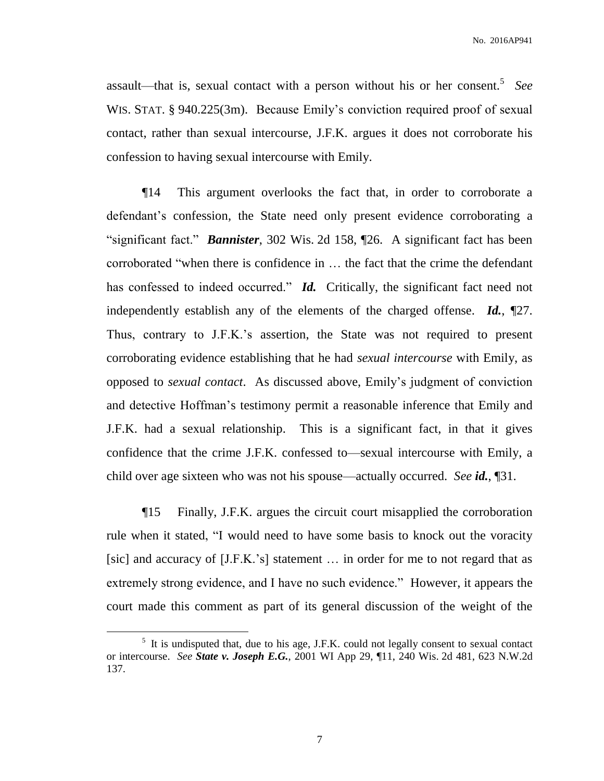No. 2016AP941

assault—that is, sexual contact with a person without his or her consent.<sup>5</sup> See WIS. STAT. § 940.225(3m). Because Emily's conviction required proof of sexual contact, rather than sexual intercourse, J.F.K. argues it does not corroborate his confession to having sexual intercourse with Emily.

¶14 This argument overlooks the fact that, in order to corroborate a defendant's confession, the State need only present evidence corroborating a "significant fact." *Bannister*, 302 Wis. 2d 158, ¶26. A significant fact has been corroborated "when there is confidence in … the fact that the crime the defendant has confessed to indeed occurred." *Id.* Critically, the significant fact need not independently establish any of the elements of the charged offense. *Id.*, ¶27. Thus, contrary to J.F.K.'s assertion, the State was not required to present corroborating evidence establishing that he had *sexual intercourse* with Emily, as opposed to *sexual contact*. As discussed above, Emily's judgment of conviction and detective Hoffman's testimony permit a reasonable inference that Emily and J.F.K. had a sexual relationship. This is a significant fact, in that it gives confidence that the crime J.F.K. confessed to—sexual intercourse with Emily, a child over age sixteen who was not his spouse—actually occurred. *See id.*, ¶31.

¶15 Finally, J.F.K. argues the circuit court misapplied the corroboration rule when it stated, "I would need to have some basis to knock out the voracity [sic] and accuracy of [J.F.K.'s] statement ... in order for me to not regard that as extremely strong evidence, and I have no such evidence." However, it appears the court made this comment as part of its general discussion of the weight of the

 $\overline{a}$ 

 $<sup>5</sup>$  It is undisputed that, due to his age, J.F.K. could not legally consent to sexual contact</sup> or intercourse. *See State v. Joseph E.G.*, 2001 WI App 29, ¶11, 240 Wis. 2d 481, 623 N.W.2d 137.